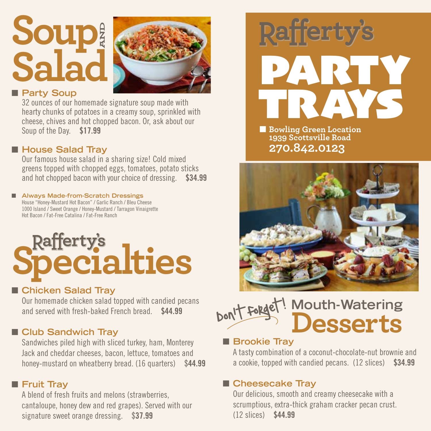## **Soup Salad AND**



#### **n** Party Soup

32 ounces of our homemade signature soup made with hearty chunks of potatoes in a creamy soup, sprinkled with cheese, chives and hot chopped bacon. Or, ask about our Soup of the Day. \$17.99

#### ■ House Salad Tray

Our famous house salad in a sharing size! Cold mixed greens topped with chopped eggs, tomatoes, potato sticks and hot chopped bacon with your choice of dressing. \$34.99

#### ■ Always Made-from-Scratch Dressings House "Honey-Mustard Hot Bacon" / Garlic Ranch / Bleu Cheese

1000 Island / Sweet Orange / Honey-Mustard / Tarragon Vinaigrette Hot Bacon / Fat-Free Catalina / Fat-Free Ranch

# **Rafferty's**<br>**Pecialties**

#### ■ Chicken Salad Tray

Our homemade chicken salad topped with candied pecans and served with fresh-baked French bread. \$44.99

#### **n** Club Sandwich Tray

Sandwiches piled high with sliced turkey, ham, Monterey Jack and cheddar cheeses, bacon, lettuce, tomatoes and honey-mustard on wheatberry bread. (16 quarters) \$44.99

#### **n** Fruit Tray

A blend of fresh fruits and melons (strawberries, cantaloupe, honey dew and red grapes). Served with our signature sweet orange dressing. \$37.99



**E** Bowling Green Location **1939 Scottsville Road 270.842.0123**



#### **Mouth-Watering Desserts** Don't forget!  $\overline{\phantom{a}}$

#### **n** Brookie Tray

A tasty combination of a coconut-chocolate-nut brownie and a cookie, topped with candied pecans. (12 slices) \$34.99

#### ■ Cheesecake Tray

Our delicious, smooth and creamy cheesecake with a scrumptious, extra-thick graham cracker pecan crust. (12 slices) \$44.99